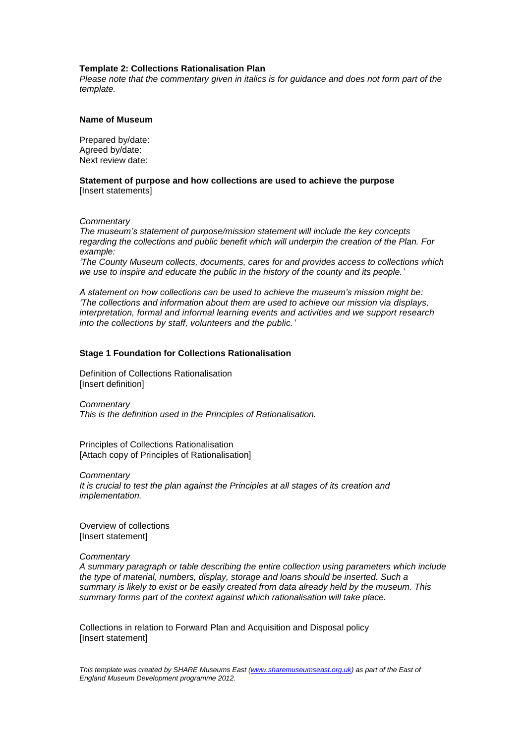# **Template 2: Collections Rationalisation Plan**

*Please note that the commentary given in italics is for guidance and does not form part of the template.*

# **Name of Museum**

Prepared by/date: Agreed by/date: Next review date:

**Statement of purpose and how collections are used to achieve the purpose** [Insert statements]

*Commentary*

*The museum's statement of purpose/mission statement will include the key concepts regarding the collections and public benefit which will underpin the creation of the Plan. For example:*

*'The County Museum collects, documents, cares for and provides access to collections which we use to inspire and educate the public in the history of the county and its people.'*

*A statement on how collections can be used to achieve the museum's mission might be: 'The collections and information about them are used to achieve our mission via displays, interpretation, formal and informal learning events and activities and we support research into the collections by staff, volunteers and the public.'*

# **Stage 1 Foundation for Collections Rationalisation**

Definition of Collections Rationalisation [Insert definition]

*Commentary*

*This is the definition used in the Principles of Rationalisation.*

Principles of Collections Rationalisation [Attach copy of Principles of Rationalisation]

*Commentary It is crucial to test the plan against the Principles at all stages of its creation and implementation.*

Overview of collections [Insert statement]

# *Commentary*

*A summary paragraph or table describing the entire collection using parameters which include the type of material, numbers, display, storage and loans should be inserted. Such a summary is likely to exist or be easily created from data already held by the museum. This summary forms part of the context against which rationalisation will take place.*

Collections in relation to Forward Plan and Acquisition and Disposal policy [Insert statement]

*This template was created by SHARE Museums East [\(www.sharemuseumseast.org.uk\)](http://www.sharemuseumseast.org.uk/) as part of the East of England Museum Development programme 2012.*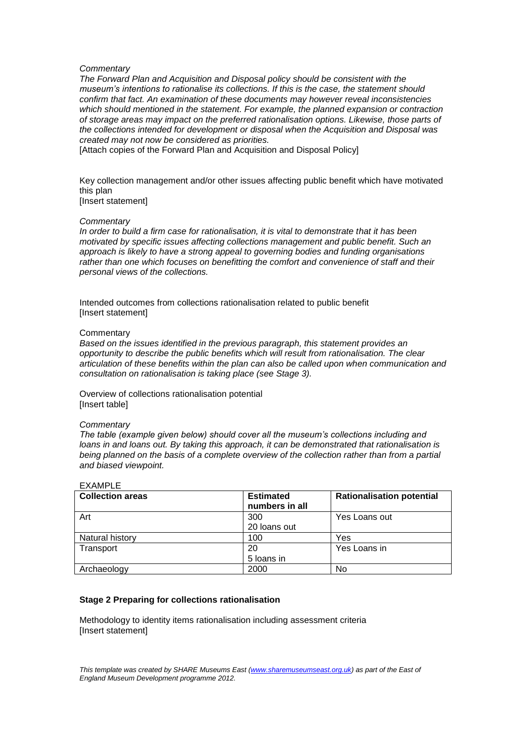### *Commentary*

*The Forward Plan and Acquisition and Disposal policy should be consistent with the museum's intentions to rationalise its collections. If this is the case, the statement should confirm that fact. An examination of these documents may however reveal inconsistencies which should mentioned in the statement. For example, the planned expansion or contraction of storage areas may impact on the preferred rationalisation options. Likewise, those parts of the collections intended for development or disposal when the Acquisition and Disposal was created may not now be considered as priorities.*

[Attach copies of the Forward Plan and Acquisition and Disposal Policy]

Key collection management and/or other issues affecting public benefit which have motivated this plan [Insert statement]

#### *Commentary*

*In order to build a firm case for rationalisation, it is vital to demonstrate that it has been motivated by specific issues affecting collections management and public benefit. Such an approach is likely to have a strong appeal to governing bodies and funding organisations*  rather than one which focuses on benefitting the comfort and convenience of staff and their *personal views of the collections.*

Intended outcomes from collections rationalisation related to public benefit [Insert statement]

# **Commentary**

*Based on the issues identified in the previous paragraph, this statement provides an opportunity to describe the public benefits which will result from rationalisation. The clear articulation of these benefits within the plan can also be called upon when communication and consultation on rationalisation is taking place (see Stage 3).*

Overview of collections rationalisation potential [Insert table]

# *Commentary*

*The table (example given below) should cover all the museum's collections including and loans in and loans out. By taking this approach, it can be demonstrated that rationalisation is being planned on the basis of a complete overview of the collection rather than from a partial and biased viewpoint.*

| <b>Collection areas</b> | <b>Estimated</b><br>numbers in all | <b>Rationalisation potential</b> |
|-------------------------|------------------------------------|----------------------------------|
| Art                     | 300                                | Yes Loans out                    |
|                         | 20 loans out                       |                                  |
| Natural history         | 100                                | Yes                              |
| Transport               | 20                                 | Yes Loans in                     |
|                         | 5 loans in                         |                                  |
| Archaeology             | 2000                               | No                               |

#### EXAMPLE

### **Stage 2 Preparing for collections rationalisation**

Methodology to identity items rationalisation including assessment criteria [Insert statement]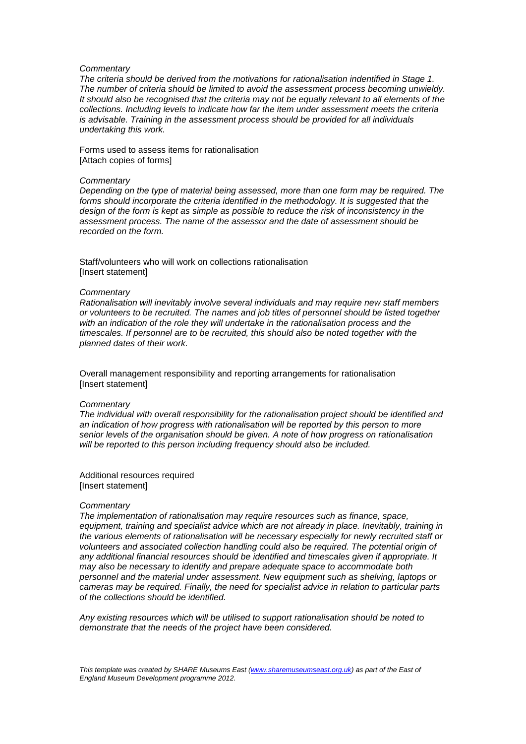#### *Commentary*

*The criteria should be derived from the motivations for rationalisation indentified in Stage 1. The number of criteria should be limited to avoid the assessment process becoming unwieldy. It should also be recognised that the criteria may not be equally relevant to all elements of the collections. Including levels to indicate how far the item under assessment meets the criteria is advisable. Training in the assessment process should be provided for all individuals undertaking this work.*

Forms used to assess items for rationalisation [Attach copies of forms]

#### *Commentary*

*Depending on the type of material being assessed, more than one form may be required. The*  forms should incorporate the criteria identified in the methodology. It is suggested that the *design of the form is kept as simple as possible to reduce the risk of inconsistency in the assessment process. The name of the assessor and the date of assessment should be recorded on the form.*

Staff/volunteers who will work on collections rationalisation [Insert statement]

#### *Commentary*

*Rationalisation will inevitably involve several individuals and may require new staff members or volunteers to be recruited. The names and job titles of personnel should be listed together with an indication of the role they will undertake in the rationalisation process and the timescales. If personnel are to be recruited, this should also be noted together with the planned dates of their work.*

Overall management responsibility and reporting arrangements for rationalisation [Insert statement]

# *Commentary*

*The individual with overall responsibility for the rationalisation project should be identified and an indication of how progress with rationalisation will be reported by this person to more senior levels of the organisation should be given. A note of how progress on rationalisation will be reported to this person including frequency should also be included.*

Additional resources required [Insert statement]

#### *Commentary*

*The implementation of rationalisation may require resources such as finance, space,*  equipment, training and specialist advice which are not already in place. Inevitably, training in *the various elements of rationalisation will be necessary especially for newly recruited staff or volunteers and associated collection handling could also be required. The potential origin of any additional financial resources should be identified and timescales given if appropriate. It may also be necessary to identify and prepare adequate space to accommodate both personnel and the material under assessment. New equipment such as shelving, laptops or cameras may be required. Finally, the need for specialist advice in relation to particular parts of the collections should be identified.*

*Any existing resources which will be utilised to support rationalisation should be noted to demonstrate that the needs of the project have been considered.*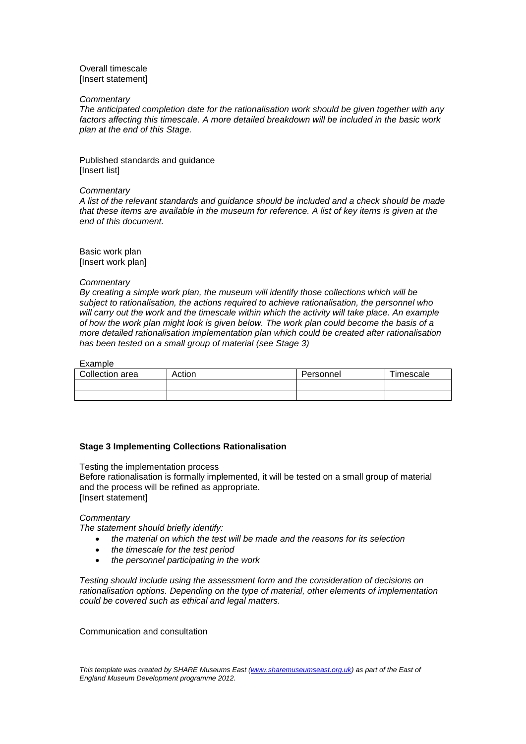# Overall timescale [Insert statement]

# *Commentary*

*The anticipated completion date for the rationalisation work should be given together with any factors affecting this timescale. A more detailed breakdown will be included in the basic work plan at the end of this Stage.*

Published standards and guidance [Insert list]

# *Commentary*

*A list of the relevant standards and guidance should be included and a check should be made that these items are available in the museum for reference. A list of key items is given at the end of this document.*

Basic work plan [Insert work plan]

# *Commentary*

*By creating a simple work plan, the museum will identify those collections which will be subject to rationalisation, the actions required to achieve rationalisation, the personnel who*  will carry out the work and the timescale within which the activity will take place. An example *of how the work plan might look is given below. The work plan could become the basis of a more detailed rationalisation implementation plan which could be created after rationalisation has been tested on a small group of material (see Stage 3)*

# Example

| Collection area | Action | Personnel | Timescale |
|-----------------|--------|-----------|-----------|
|                 |        |           |           |
|                 |        |           |           |

# **Stage 3 Implementing Collections Rationalisation**

Testing the implementation process

Before rationalisation is formally implemented, it will be tested on a small group of material and the process will be refined as appropriate. [Insert statement]

# *Commentary*

*The statement should briefly identify:*

- *the material on which the test will be made and the reasons for its selection*
- *the timescale for the test period*
- *the personnel participating in the work*

*Testing should include using the assessment form and the consideration of decisions on rationalisation options. Depending on the type of material, other elements of implementation could be covered such as ethical and legal matters.*

Communication and consultation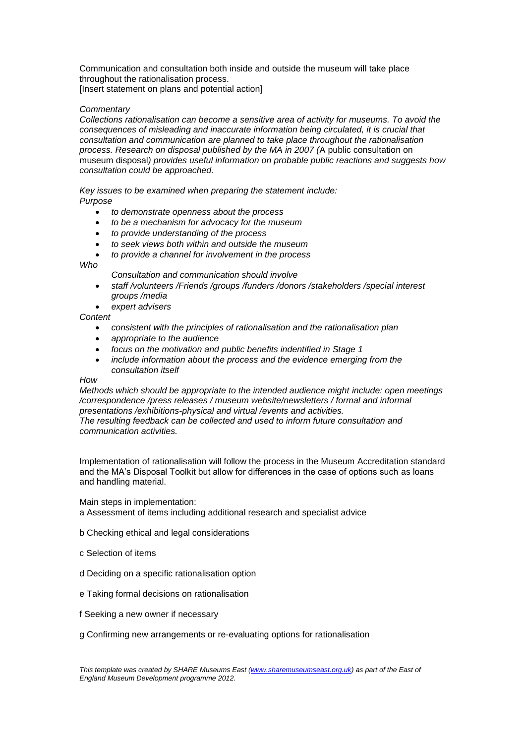Communication and consultation both inside and outside the museum will take place throughout the rationalisation process. [Insert statement on plans and potential action]

# *Commentary*

*Collections rationalisation can become a sensitive area of activity for museums. To avoid the consequences of misleading and inaccurate information being circulated, it is crucial that consultation and communication are planned to take place throughout the rationalisation process. Research on disposal published by the MA in 2007 (*A public consultation on museum disposal*) provides useful information on probable public reactions and suggests how consultation could be approached.*

*Key issues to be examined when preparing the statement include: Purpose*

- *to demonstrate openness about the process*
- *to be a mechanism for advocacy for the museum*
- *to provide understanding of the process*
- *to seek views both within and outside the museum*
- *to provide a channel for involvement in the process*

*Who*

- *Consultation and communication should involve*
- *staff /volunteers /Friends /groups /funders /donors /stakeholders /special interest groups /media*
- *expert advisers*

*Content*

- *consistent with the principles of rationalisation and the rationalisation plan*
- *appropriate to the audience*
- *focus on the motivation and public benefits indentified in Stage 1*
- *include information about the process and the evidence emerging from the consultation itself*

# *How*

*Methods which should be appropriate to the intended audience might include: open meetings /correspondence /press releases / museum website/newsletters / formal and informal presentations /exhibitions-physical and virtual /events and activities. The resulting feedback can be collected and used to inform future consultation and communication activities.*

Implementation of rationalisation will follow the process in the Museum Accreditation standard and the MA's Disposal Toolkit but allow for differences in the case of options such as loans and handling material.

Main steps in implementation:

a Assessment of items including additional research and specialist advice

- b Checking ethical and legal considerations
- c Selection of items
- d Deciding on a specific rationalisation option
- e Taking formal decisions on rationalisation
- f Seeking a new owner if necessary

g Confirming new arrangements or re-evaluating options for rationalisation